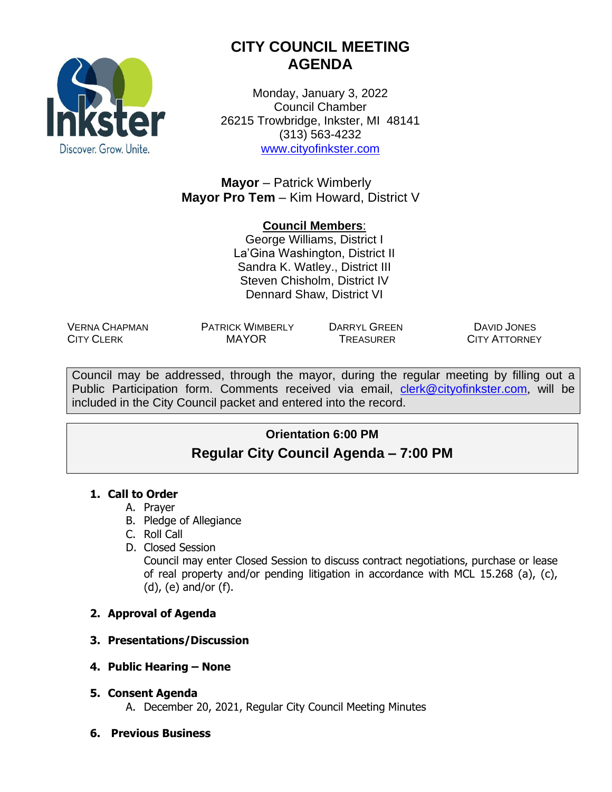

# **CITY COUNCIL MEETING AGENDA**

Monday, January 3, 2022 Council Chamber 26215 Trowbridge, Inkster, MI 48141 (313) 563-4232 [www.cityofinkster.com](http://www.cityofinkster.com/)

**Mayor** – Patrick Wimberly **Mayor Pro Tem** – Kim Howard, District V

#### **Council Members**:

George Williams, District I La'Gina Washington, District II Sandra K. Watley., District III Steven Chisholm, District IV Dennard Shaw, District VI

VERNA CHAPMAN CITY CLERK

PATRICK WIMBERLY DARRYL GREEN MAYOR TREASURER

DAVID JONES CITY ATTORNEY

Council may be addressed, through the mayor, during the regular meeting by filling out a Public Participation form. Comments received via email, [clerk@cityofinkster.com](mailto:clerk@cityofinkster.com), will be included in the City Council packet and entered into the record.

# **Orientation 6:00 PM Regular City Council Agenda – 7:00 PM**

#### **1. Call to Order**

- A. Prayer
- B. Pledge of Allegiance
- C. Roll Call
- D. Closed Session

Council may enter Closed Session to discuss contract negotiations, purchase or lease of real property and/or pending litigation in accordance with MCL 15.268 (a), (c), (d), (e) and/or (f).

# **2. Approval of Agenda**

# **3. Presentations/Discussion**

- **4. Public Hearing – None**
- **5. Consent Agenda**
	- A. December 20, 2021, Regular City Council Meeting Minutes
- **6. Previous Business**